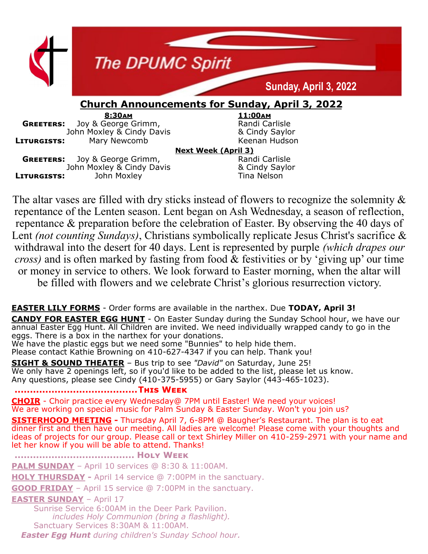

The altar vases are filled with dry sticks instead of flowers to recognize the solemnity  $\&$ repentance of the Lenten season. Lent began on Ash Wednesday, a season of reflection, repentance & preparation before the celebration of Easter. By observing the 40 days of Lent *(not counting Sundays)*, Christians symbolically replicate Jesus Christ's sacrifice & withdrawal into the desert for 40 days. Lent is represented by purple *(which drapes our cross)* and is often marked by fasting from food & festivities or by 'giving up' our time or money in service to others. We look forward to Easter morning, when the altar will be filled with flowers and we celebrate Christ's glorious resurrection victory.

#### **EASTER LILY FORMS** - Order forms are available in the narthex. Due **TODAY, April 3!**

**CANDY FOR EASTER EGG HUNT** - On Easter Sunday during the Sunday School hour, we have our annual Easter Egg Hunt. All Children are invited. We need individually wrapped candy to go in the eggs. There is a box in the narthex for your donations.

We have the plastic eggs but we need some "Bunnies" to help hide them. Please contact Kathie Browning on 410-627-4347 if you can help. Thank you!

**SIGHT & SOUND THEATER** – Bus trip to see *"David"* on Saturday, June 25! We only have 2 openings left, so if you'd like to be added to the list, please let us know. Any questions, please see Cindy (410-375-5955) or Gary Saylor (443-465-1023).

**........................................This Week**

**CHOIR** - Choir practice every Wednesday@ 7PM until Easter! We need your voices! We are working on special music for Palm Sunday & Easter Sunday. Won't you join us?

**SISTERHOOD MEETING -** Thursday April 7, 6-8PM @ Baugher's Restaurant. The plan is to eat dinner first and then have our meeting. All ladies are welcome! Please come with your thoughts and ideas of projects for our group. Please call or text Shirley Miller on 410-259-2971 with your name and let her know if you will be able to attend. Thanks!

**....................................... Holy Week**

**PALM SUNDAY** – April 10 services @ 8:30 & 11:00AM.

**HOLY THURSDAY -** April 14 service @ 7:00PM in the sanctuary.

**GOOD FRIDAY** – April 15 service @ 7:00PM in the sanctuary.

#### **EASTER SUNDAY** – April 17

Sunrise Service 6:00AM in the Deer Park Pavilion. *includes Holy Communion (bring a flashlight).* Sanctuary Services 8:30AM & 11:00AM. *Easter Egg Hunt during children's Sunday School hour.*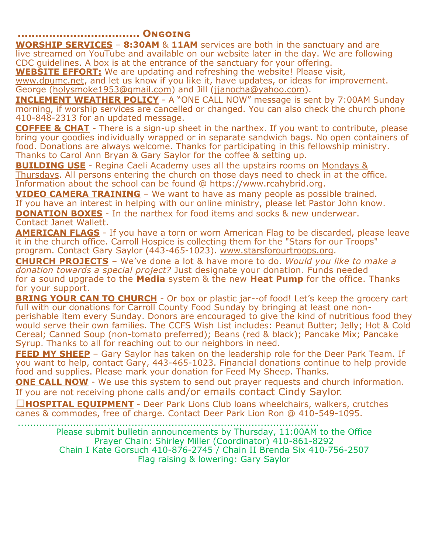**................................... Ongoing**

**WORSHIP SERVICES** – **8:30AM** & **11AM** services are both in the sanctuary and are live streamed on YouTube and available on our website later in the day. We are following CDC guidelines. A box is at the entrance of the sanctuary for your offering.

**WEBSITE EFFORT:** We are updating and refreshing the website! Please visit,

[www.dpumc.net,](http://www.dpumc.net) and let us know if you like it, have updates, or ideas for improvement. George ([holysmoke1953@gmail.com\)](mailto:holysmokes1953@gmail.com) and Jill [\(jjanocha@yahoo.com\)](mailto:jjanocha@yahoo.com).

**INCLEMENT WEATHER POLICY** - A "ONE CALL NOW" message is sent by 7:00AM Sunday morning, if worship services are cancelled or changed. You can also check the church phone 410-848-2313 for an updated message.

**COFFEE & CHAT** - There is a sign-up sheet in the narthex. If you want to contribute, please bring your goodies individually wrapped or in separate sandwich bags. No open containers of food. Donations are always welcome. Thanks for participating in this fellowship ministry. Thanks to Carol Ann Bryan & Gary Saylor for the coffee & setting up.

**BUILDING USE** - Regina Caeli Academy uses all the upstairs rooms on Mondays & Thursdays. All persons entering the church on those days need to check in at the office. Information about the school can be found @ https://www.rcahybrid.org.

**VIDEO CAMERA TRAINING** – We want to have as many people as possible trained. If you have an interest in helping with our online ministry, please let Pastor John know.

**DONATION BOXES** - In the narthex for food items and socks & new underwear. Contact Janet Wallett.

**AMERICAN FLAGS** - If you have a torn or worn American Flag to be discarded, please leave it in the church office. Carroll Hospice is collecting them for the "Stars for our Troops" program. Contact Gary Saylor (443-465-1023). www.starsforourtroops.org.

**CHURCH PROJECTS** – We've done a lot & have more to do. *Would you like to make a donation towards a special project?* Just designate your donation. Funds needed for a sound upgrade to the **Media** system & the new **Heat Pump** for the office. Thanks for your support.

**BRING YOUR CAN TO CHURCH** - Or box or plastic jar--of food! Let's keep the grocery cart full with our donations for Carroll County Food Sunday by bringing at least one non-

perishable item every Sunday. Donors are encouraged to give the kind of nutritious food they would serve their own families. The CCFS Wish List includes: Peanut Butter; Jelly; Hot & Cold Cereal; Canned Soup (non-tomato preferred); Beans (red & black); Pancake Mix; Pancake Syrup. Thanks to all for reaching out to our neighbors in need.

**FEED MY SHEEP** - Gary Saylor has taken on the leadership role for the Deer Park Team. If you want to help, contact Gary, 443-465-1023. Financial donations continue to help provide food and supplies. Please mark your donation for Feed My Sheep. Thanks.

**ONE CALL NOW** - We use this system to send out prayer requests and church information. If you are not receiving phone calls and/or emails contact Cindy Saylor.

**HOSPITAL EQUIPMENT** - Deer Park Lions Club loans wheelchairs, walkers, crutches canes & commodes, free of charge. Contact Deer Park Lion Ron @ 410-549-1095.

> .................................................................................................. Please submit bulletin announcements by Thursday, 11:00AM to the Office Prayer Chain: Shirley Miller (Coordinator) 410-861-8292 Chain I Kate Gorsuch 410-876-2745 / Chain II Brenda Six 410-756-2507 Flag raising & lowering: Gary Saylor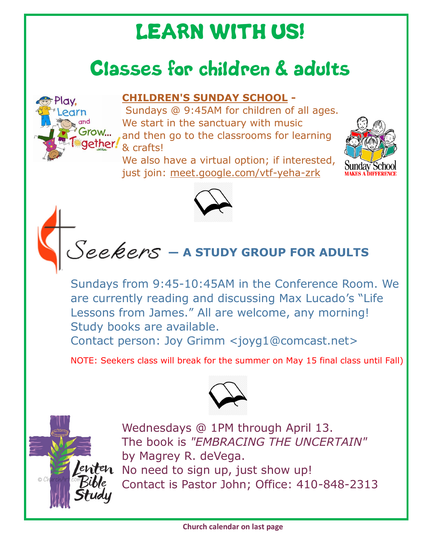# LEARN WITH US!

## Classes for children & adults



Sundays @ 9:45AM for children of all ages. We start in the sanctuary with music and then go to the classrooms for learning & crafts!

We also have a virtual option; if interested, just join: [meet.google.com/vtf](https://www.dpumc.net/groups/childrens-ministries/sunday-school/meet.google.com/vtf-yeha-zrk)-yeha-zrk







Sundays from 9:45-10:45AM in the Conference Room. We are currently reading and discussing Max Lucado's "Life Lessons from James." All are welcome, any morning! Study books are available.

Contact person: Joy Grimm <joyg1@comcast.net>

NOTE: Seekers class will break for the summer on May 15 final class until Fall)



Play.

row...

Wednesdays @ 1PM through April 13. The book is *"EMBRACING THE UNCERTAIN"* by Magrey R. deVega. No need to sign up, just show up! Contact is Pastor John; Office: 410-848-2313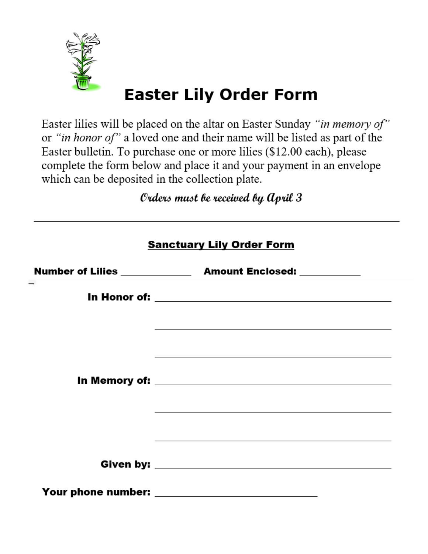

## **Easter Lily Order Form**

Easter lilies will be placed on the altar on Easter Sunday "in memory of" or "in honor of" a loved one and their name will be listed as part of the Easter bulletin. To purchase one or more lilies (\$12.00 each), please complete the form below and place it and your payment in an envelope which can be deposited in the collection plate.

Orders must be received by April 3

| <b>Sanctuary Lily Order Form</b> |                                                                                                                  |  |  |  |  |  |  |
|----------------------------------|------------------------------------------------------------------------------------------------------------------|--|--|--|--|--|--|
|                                  |                                                                                                                  |  |  |  |  |  |  |
|                                  |                                                                                                                  |  |  |  |  |  |  |
|                                  | and the control of the control of the control of the control of the control of the control of the control of the |  |  |  |  |  |  |
|                                  | ,我们也不能在这里的时候,我们也不能在这里的时候,我们也不能会在这里的时候,我们也不能会在这里的时候,我们也不能会在这里的时候,我们也不能会在这里的时候,我们也                                 |  |  |  |  |  |  |
|                                  |                                                                                                                  |  |  |  |  |  |  |
|                                  | ,我们也不会有什么。""我们的人,我们也不会有什么?""我们的人,我们也不会有什么?""我们的人,我们的人,我们也不会有什么?""我们的人,我们的人,我们也不会                                 |  |  |  |  |  |  |
|                                  |                                                                                                                  |  |  |  |  |  |  |
|                                  |                                                                                                                  |  |  |  |  |  |  |
|                                  |                                                                                                                  |  |  |  |  |  |  |
|                                  | Your phone number: ____________________________                                                                  |  |  |  |  |  |  |